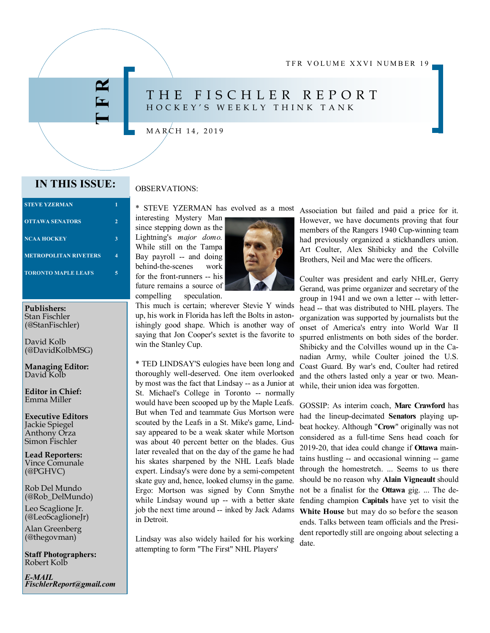TFR VOLUME XXVI NUMBER 19

# THE FISCHLER REPORT H O C K E Y ' S W E E K L Y T H I N K T A N K

## $MARCH$  14, 2019

# **IN THIS ISSUE:** OBSERVATIONS:

**T F R**

| <b>STEVE YZERMAN</b>         |   |
|------------------------------|---|
| <b>OTTAWA SENATORS</b>       | 2 |
| <b>NCAA HOCKEY</b>           |   |
| <b>METROPOLITAN RIVETERS</b> |   |
| <b>TORONTO MAPLE LEAFS</b>   |   |
|                              |   |

**Publishers:**  Stan Fischler (@StanFischler)

David Kolb (@DavidKolbMSG)

**Managing Editor:** David Kolb

**Editor in Chief:**  Emma Miller

**Executive Editors**  Jackie Spiegel Anthony Orza Simon Fischler

**Lead Reporters:** Vince Comunale (@PGHVC)

Rob Del Mundo (@Rob\_DelMundo)

Leo Scaglione Jr. (@LeoScaglioneJr)

Alan Greenberg (@thegovman)

**Staff Photographers:** Robert Kolb

*E-MAIL FischlerReport@gmail.com*

\* STEVE YZERMAN has evolved as a most

interesting Mystery Man since stepping down as the Lightning's *major domo.*  While still on the Tampa Bay payroll -- and doing behind-the-scenes work for the front-runners -- his future remains a source of compelling speculation.



This much is certain; wherever Stevie Y winds up, his work in Florida has left the Bolts in astonishingly good shape. Which is another way of saying that Jon Cooper's sextet is the favorite to win the Stanley Cup.

\* TED LINDSAY'S eulogies have been long and thoroughly well-deserved. One item overlooked by most was the fact that Lindsay -- as a Junior at St. Michael's College in Toronto -- normally would have been scooped up by the Maple Leafs. But when Ted and teammate Gus Mortson were scouted by the Leafs in a St. Mike's game, Lindsay appeared to be a weak skater while Mortson was about 40 percent better on the blades. Gus later revealed that on the day of the game he had his skates sharpened by the NHL Leafs blade expert. Lindsay's were done by a semi-competent skate guy and, hence, looked clumsy in the game. Ergo: Mortson was signed by Conn Smythe while Lindsay wound up -- with a better skate job the next time around -- inked by Jack Adams in Detroit.

Lindsay was also widely hailed for his working attempting to form "The First" NHL Players'

Association but failed and paid a price for it. However, we have documents proving that four members of the Rangers 1940 Cup-winning team had previously organized a stickhandlers union. Art Coulter, Alex Shibicky and the Colville Brothers, Neil and Mac were the officers.

Coulter was president and early NHLer, Gerry Gerand, was prime organizer and secretary of the group in 1941 and we own a letter -- with letterhead -- that was distributed to NHL players. The organization was supported by journalists but the onset of America's entry into World War II spurred enlistments on both sides of the border. Shibicky and the Colvilles wound up in the Canadian Army, while Coulter joined the U.S. Coast Guard. By war's end, Coulter had retired and the others lasted only a year or two. Meanwhile, their union idea was forgotten.

GOSSIP: As interim coach, **Marc Crawford** has had the lineup-decimated **Senators** playing upbeat hockey. Although "**Crow**" originally was not considered as a full-time Sens head coach for 2019-20, that idea could change if **Ottawa** maintains hustling -- and occasional winning -- game through the homestretch. ... Seems to us there should be no reason why **Alain Vigneault** should not be a finalist for the **Ottawa** gig. ... The defending champion **Capitals** have yet to visit the **White House** but may do so before the season ends. Talks between team officials and the President reportedly still are ongoing about selecting a date.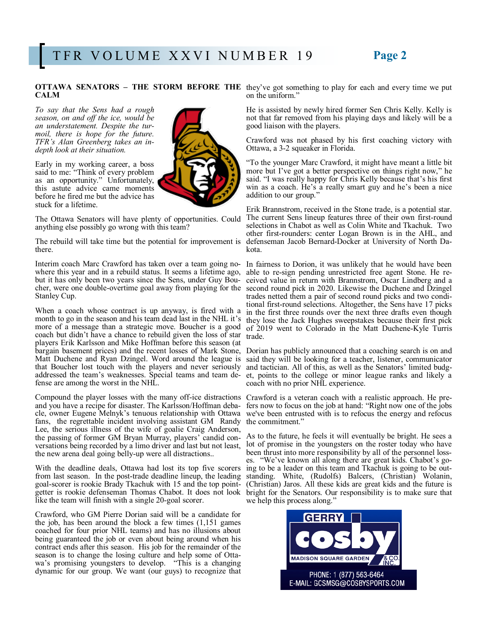# **CALM**

*To say that the Sens had a rough season, on and off the ice, would be an understatement. Despite the turmoil, there is hope for the future. TFR's Alan Greenberg takes an indepth look at their situation.*

Early in my working career, a boss said to me: "Think of every problem as an opportunity." Unfortunately, this astute advice came moments before he fired me but the advice has stuck for a lifetime.



The Ottawa Senators will have plenty of opportunities. Could anything else possibly go wrong with this team?

The rebuild will take time but the potential for improvement is there.

Interim coach Marc Crawford has taken over a team going nowhere this year and in a rebuild status. It seems a lifetime ago, but it has only been two years since the Sens, under Guy Bou-Stanley Cup.

When a coach whose contract is up anyway, is fired with a month to go in the season and his team dead last in the NHL it's more of a message than a strategic move. Boucher is a good coach but didn't have a chance to rebuild given the loss of star players Erik Karlsson and Mike Hoffman before this season (at bargain basement prices) and the recent losses of Mark Stone, Matt Duchene and Ryan Dzingel. Word around the league is that Boucher lost touch with the players and never seriously addressed the team's weaknesses. Special teams and team defense are among the worst in the NHL.

Compound the player losses with the many off-ice distractions Crawford is a veteran coach with a realistic approach. He prefans, the regrettable incident involving assistant GM Randy the commitment." Lee, the serious illness of the wife of goalie Craig Anderson, the passing of former GM Bryan Murray, players' candid conversations being recorded by a limo driver and last but not least, the new arena deal going belly-up were all distractions..

With the deadline deals, Ottawa had lost its top five scorers from last season. In the post-trade deadline lineup, the leading goal-scorer is rookie Brady Tkachuk with 15 and the top pointgetter is rookie defenseman Thomas Chabot. It does not look like the team will finish with a single 20-goal scorer.

Crawford, who GM Pierre Dorian said will be a candidate for the job, has been around the block a few times (1,151 games coached for four prior NHL teams) and has no illusions about being guaranteed the job or even about being around when his contract ends after this season. His job for the remainder of the season is to change the losing culture and help some of Ottawa's promising youngsters to develop. "This is a changing dynamic for our group. We want (our guys) to recognize that

**OTTAWA SENATORS – THE STORM BEFORE THE** they've got something to play for each and every time we put on the uniform."

> He is assisted by newly hired former Sen Chris Kelly. Kelly is not that far removed from his playing days and likely will be a good liaison with the players.

> Crawford was not phased by his first coaching victory with Ottawa, a 3-2 squeaker in Florida.

> "To the younger Marc Crawford, it might have meant a little bit more but I've got a better perspective on things right now," he said. "I was really happy for Chris Kelly because that's his first win as a coach. He's a really smart guy and he's been a nice addition to our group."

> Erik Brannstrom, received in the Stone trade, is a potential star. The current Sens lineup features three of their own first-round selections in Chabot as well as Colin White and Tkachuk. Two other first-rounders: center Logan Brown is in the AHL, and defenseman Jacob Bernard-Docker at University of North Dakota.

cher, were one double-overtime goal away from playing for the second round pick in 2020. Likewise the Duchene and Dzingel In fairness to Dorion, it was unlikely that he would have been able to re-sign pending unrestricted free agent Stone. He received value in return with Brannstrom, Oscar Lindberg and a trades netted them a pair of second round picks and two conditional first-round selections. Altogether, the Sens have 17 picks in the first three rounds over the next three drafts even though they lose the Jack Hughes sweepstakes because their first pick of 2019 went to Colorado in the Matt Duchene-Kyle Turris trade.

> Dorian has publicly announced that a coaching search is on and said they will be looking for a teacher, listener, communicator and tactician. All of this, as well as the Senators' limited budget, points to the college or minor league ranks and likely a coach with no prior NHL experience.

and you have a recipe for disaster. The Karlsson/Hoffman deba-fers now to focus on the job at hand: "Right now one of the jobs cle, owner Eugene Melnyk's tenuous relationship with Ottawa we've been entrusted with is to refocus the energy and refocus

> As to the future, he feels it will eventually be bright. He sees a lot of promise in the youngsters on the roster today who have been thrust into more responsibility by all of the personnel losses. "We've known all along there are great kids. Chabot's going to be a leader on this team and Tkachuk is going to be outstanding. White, (Rudolfs) Balcers, (Christian) Wolanin, (Christian) Jaros. All these kids are great kids and the future is bright for the Senators. Our responsibility is to make sure that we help this process along."

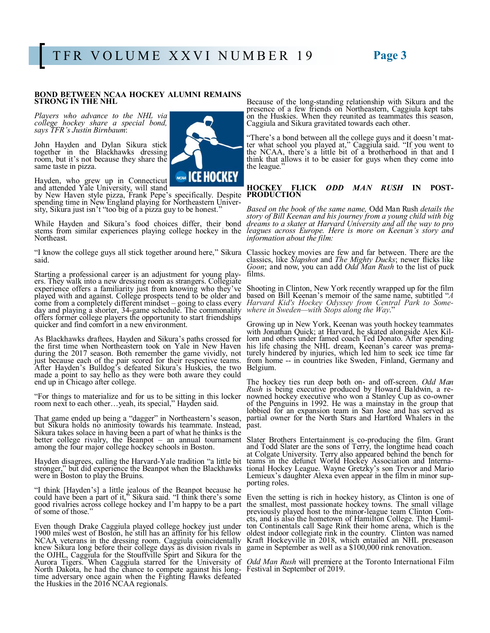### **BOND BETWEEN NCAA HOCKEY ALUMNI REMAINS STRONG IN THE NHL**

*Players who advance to the NHL via college hockey share a special bond, says TFR's Justin Birnbaum*:

John Hayden and Dylan Sikura stick together in the Blackhawks dressing room, but it's not because they share the same taste in pizza.

Hayden, who grew up in Connecticut and attended Yale University, will stand

by New Haven style pizza, Frank Pepe's specifically. Despite spending time in New England playing for Northeastern University, Sikura just isn't "too big of a pizza guy to be honest."

While Hayden and Sikura's food choices differ, their bond stems from similar experiences playing college hockey in the Northeast.

said.

Starting a professional career is an adjustment for young players. They walk into a new dressing room as strangers. Collegiate experience offers a familiarity just from knowing who they've played with and against. College prospects tend to be older and come from a completely different mindset – going to class every day and playing a shorter, 34-game schedule. The commonality offers former college players the opportunity to start friendships quicker and find comfort in a new environment.

As Blackhawks draftees, Hayden and Sikura's paths crossed for the first time when Northeastern took on Yale in New Haven during the 2017 season. Both remember the game vividly, not just because each of the pair scored for their respective teams. After Hayden's Bulldog's defeated Sikura's Huskies, the two made a point to say hello as they were both aware they could end up in Chicago after college.

"For things to materialize and for us to be sitting in this locker room next to each other…yeah, its special," Hayden said.

That game ended up being a "dagger" in Northeastern's season, but Sikura holds no animosity towards his teammate. Instead, Sikura takes solace in having been a part of what he thinks is the better college rivalry, the Beanpot – an annual tournament Slater Brothers Entertainment is co-producing the film. Grant among the four major college hockey schools in Boston.

Hayden disagrees, calling the Harvard-Yale tradition "a little bit stronger," but did experience the Beanpot when the Blackhawks were in Boston to play the Bruins.

"I think [Hayden's] a little jealous of the Beanpot because he could have been a part of it," Sikura said. "I think there's some good rivalries across college hockey and I'm happy to be a part of some of those."

Even though Drake Caggiula played college hockey just under 1900 miles west of Boston, he still has an affinity for his fellow NCAA veterans in the dressing room. Caggiula coincidentally knew Sikura long before their college days as division rivals in the OJHL, Caggiula for the Stouffville Spirt and Sikura for the Aurora Tigers. When Caggiula starred for the University of North Dakota, he had the chance to compete against his longtime adversary once again when the Fighting Hawks defeated the Huskies in the 2016 NCAA regionals.



Because of the long-standing relationship with Sikura and the presence of a few friends on Northeastern, Caggiula kept tabs on the Huskies. When they reunited as teammates this season, Caggiula and Sikura gravitated towards each other.

"There's a bond between all the college guys and it doesn't matter what school you played at," Caggiula said. "If you went to the NCAA, there's a little bit of a brotherhood in that and I think that allows it to be easier for guys when they come into the league."

### **HOCKEY FLICK** *ODD MAN RUSH* **IN POST-PRODUCTION**

*Based on the book of the same name,* Odd Man Rush *details the story of Bill Keenan and his journey from a young child with big dreams to a skater at Harvard University and all the way to pro leagues across Europe. Here is more on Keenan's story and information about the film:* 

"I know the college guys all stick together around here," Sikura Classic hockey movies are few and far between. There are the classics, like *Slapshot* and *The Mighty Ducks*; newer flicks like *Goon*; and now, you can add *Odd Man Rush* to the list of puck films.

> Shooting in Clinton, New York recently wrapped up for the film based on Bill Keenan's memoir of the same name, subtitled "*A Harvard Kid's Hockey Odyssey from Central Park to Somewhere in Sweden—with Stops along the Way*."

> Growing up in New York, Keenan was youth hockey teammates with Jonathan Quick; at Harvard, he skated alongside Alex Killorn and others under famed coach Ted Donato. After spending his life chasing the NHL dream, Keenan's career was prematurely hindered by injuries, which led him to seek ice time far from home -- in countries like Sweden, Finland, Germany and Belgium.

> The hockey ties run deep both on- and off-screen. *Odd Man Rush* is being executive produced by Howard Baldwin, a renowned hockey executive who won a Stanley Cup as co-owner of the Penguins in 1992. He was a mainstay in the group that lobbied for an expansion team in San Jose and has served as partial owner for the North Stars and Hartford Whalers in the past.

> and Todd Slater are the sons of Terry, the longtime head coach at Colgate University. Terry also appeared behind the bench for teams in the defunct World Hockey Association and International Hockey League. Wayne Gretzky's son Trevor and Mario Lemieux's daughter Alexa even appear in the film in minor supporting roles.

> Even the setting is rich in hockey history, as Clinton is one of the smallest, most passionate hockey towns. The small village previously played host to the minor-league team Clinton Comets, and is also the hometown of Hamilton College. The Hamilton Continentals call Sage Rink their home arena, which is the oldest indoor collegiate rink in the country. Clinton was named Kraft Hockeyville in 2018, which entailed an NHL preseason game in September as well as a \$100,000 rink renovation.

> *Odd Man Rush* will premiere at the Toronto International Film Festival in September of 2019.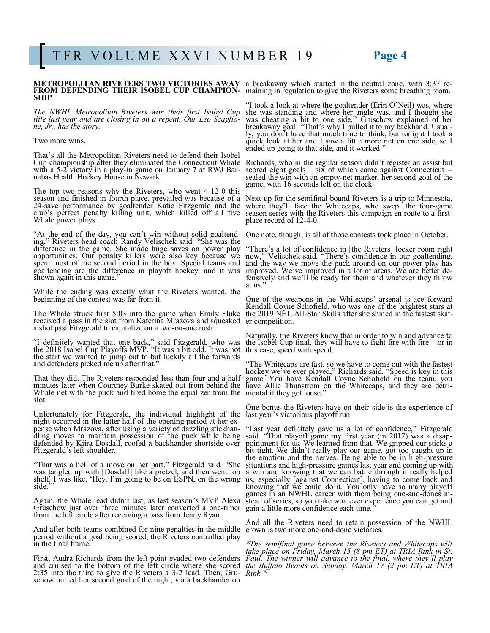# **FROM DEFENDING THEIR ISOBEL CUP CHAMPION-** maining in regulation to give the Riveters some breathing room. **SHIP**

*The NWHL Metropolitan Riveters won their first Isobel Cup title last year and are closing in on a repeat. Our Leo Scagliotitle last year and are closing in on a repeat. Our Leo Scaglione, Jr., has the story.* 

### Two more wins.

That's all the Metropolitan Riveters need to defend their Isobel Cup championship after they eliminated the Connecticut Whale with a 5-2 victory in a play-in game on January 7 at RWJ Barnabas Health Hockey House in Newark.

The top two reasons why the Riveters, who went 4-12-0 this season and finished in fourth place, prevailed was because of a 24-save performance by goaltender Katie Fitzgerald and the club's perfect penalty killing unit, which killed off all five Whale power plays.

"At the end of the day, you can't win without solid goaltend-One note, though, is all of those contests took place in October. ing," Riveters head coach Randy Velischek said. "She was the difference in the game. She made huge saves on power play opportunities. Our penalty killers were also key because we spent most of the second period in the box. Special teams and goaltending are the difference in playoff hockey, and it was shown again in this game."

While the ending was exactly what the Riveters wanted, the beginning of the contest was far from it.

received a pass in the slot from Katerina Mrazova and squeaked er competition. a shot past Fitzgerald to capitalize on a two-on-one rush.

"I definitely wanted that one back," said Fitzgerald, who was the 2018 Isobel Cup Playoffs MVP. "It was a bit odd. It was not the start we wanted to jump out to but luckily all the forwards and defenders picked me up after that."

That they did. The Riveters responded less than four and a half minutes later when Courtney Burke skated out from behind the Whale net with the puck and fired home the equalizer from the mental if they get loose." slot.

Unfortunately for Fitzgerald, the individual highlight of the night occurred in the latter half of the opening period at her expense when Mrazova, after using a variety of dazzling stickhandling moves to maintain possession of the puck while being defended by Kiira Dosdall, roofed a backhander shortside over Fitzgerald's left shoulder.

"That was a hell of a move on her part," Fitzgerald said. "She was tangled up with [Dosdall] like a pretzel, and then went top shelf. I was like, 'Hey, I'm going to be on ESPN, on the wrong side."

Again, the Whale lead didn't last, as last season's MVP Alexa Gruschow just over three minutes later converted a one-timer from the left circle after receiving a pass from Jenny Ryan.

And after both teams combined for nine penalties in the middle crown is two more one-and-done victories. period without a goal being scored, the Riveters controlled play in the final frame.

and cruised to the bottom of the left circle where she scored 2:35 into the third to give the Riveters a 3-2 lead. Then, Gruschow buried her second goal of the night, via a backhander on

**METROPOLITAN RIVETERS TWO VICTORIES AWAY**  a breakaway which started in the neutral zone, with 3:37 re-

"I took a look at where the goaltender (Erin O'Neil) was, where she was standing and where her angle was, and I thought she was cheating a bit to one side," Gruschow explained of her breakaway goal. "That's why I pulled it to my backhand. Usually, you don't have that much time to think, but tonight I took a quick look at her and I saw a little more net on one side, so I ended up going to that side, and it worked."

Richards, who in the regular season didn't register an assist but scored eight goals – six of which came against Connecticut - sealed the win with an empty-net marker, her second goal of the game, with 16 seconds left on the clock.

Next up for the semifinal bound Riveters is a trip to Minnesota, where they'll face the Whitecaps, who swept the four-game season series with the Riveters this campaign en route to a firstplace record of 12-4-0.

"There's a lot of confidence in [the Riveters] locker room right now," Velischek said. "There's confidence in our goaltending, and the way we move the puck around on our power play has improved. We've improved in a lot of areas. We are better defensively and we'll be ready for them and whatever they throw at us."

The Whale struck first 5:03 into the game when Emily Fluke the 2019 NHL All-Star Skills after she shined in the fastest skat-One of the weapons in the Whitecaps' arsenal is ace forward Kendall Coyne Schofield, who was one of the brightest stars at

> Naturally, the Riveters know that in order to win and advance to the Isobel Cup final, they will have to fight fire with fire – or in this case, speed with speed.

> "The Whitecaps are fast, so we have to come out with the fastest hockey we've ever played," Richards said. "Speed is key in this game. You have Kendall Coyne Schofield on the team, you have Allie Thunstrom on the Whitecaps, and they are detri-

> One bonus the Riveters have on their side is the experience of last year's victorious playoff run.

"Last year definitely gave us a lot of confidence," Fitzgerald said. "That playoff game my first year (in 2017) was a disappointment for us. We learned from that. We gripped our sticks a bit tight. We didn't really play our game, got too caught up in the emotion and the nerves. Being able to be in high-pressure situations and high-pressure games last year and coming up with a win and knowing that we can battle through it really helped us, especially [against Connecticut], having to come back and knowing that we could do it. You only have so many playoff games in an NWHL career with them being one-and-dones instead of series, so you take whatever experience you can get and gain a little more confidence each time."

And all the Riveters need to retain possession of the NWHL

First, Audra Richards from the left point evaded two defenders *Paul. The winner will advance to the final, where they'll play \*The semifinal game between the Riveters and Whitecaps will take place on Friday, March 15 (8 pm ET) at TRIA Rink in St. the Buffalo Beauts on Sunday, March 17 (2 pm ET) at TRIA Rink.\**